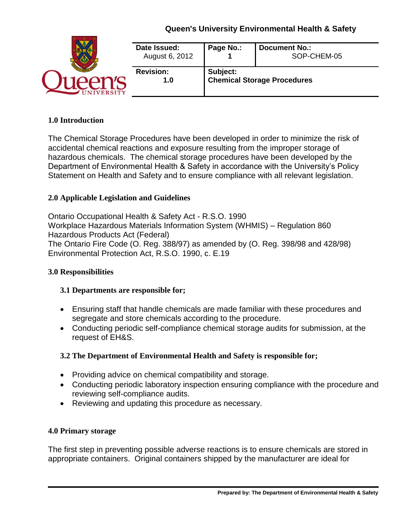| <b>VERSITY</b> | Date Issued:<br>August 6, 2012 | Page No.:                                      | <b>Document No.:</b><br>SOP-CHEM-05 |
|----------------|--------------------------------|------------------------------------------------|-------------------------------------|
|                | <b>Revision:</b><br>1.0        | Subject:<br><b>Chemical Storage Procedures</b> |                                     |

#### **1.0 Introduction**

The Chemical Storage Procedures have been developed in order to minimize the risk of accidental chemical reactions and exposure resulting from the improper storage of hazardous chemicals. The chemical storage procedures have been developed by the Department of Environmental Health & Safety in accordance with the University's Policy Statement on Health and Safety and to ensure compliance with all relevant legislation.

## **2.0 Applicable Legislation and Guidelines**

Ontario Occupational Health & Safety Act - R.S.O. 1990 Workplace Hazardous Materials Information System (WHMIS) – Regulation 860 Hazardous Products Act (Federal) The Ontario Fire Code (O. Reg. 388/97) as amended by (O. Reg. 398/98 and 428/98) [Environmental Protection Act, R.S.O. 1990, c. E.19](http://www.e-laws.gov.on.ca/html/statutes/english/elaws_statutes_90e19_e.htm)

#### **3.0 Responsibilities**

#### **3.1 Departments are responsible for;**

- Ensuring staff that handle chemicals are made familiar with these procedures and segregate and store chemicals according to the procedure.
- Conducting periodic self-compliance chemical storage audits for submission, at the request of EH&S.

## **3.2 The Department of Environmental Health and Safety is responsible for;**

- Providing advice on chemical compatibility and storage.
- Conducting periodic laboratory inspection ensuring compliance with the procedure and reviewing self-compliance audits.
- Reviewing and updating this procedure as necessary.

#### **4.0 Primary storage**

The first step in preventing possible adverse reactions is to ensure chemicals are stored in appropriate containers. Original containers shipped by the manufacturer are ideal for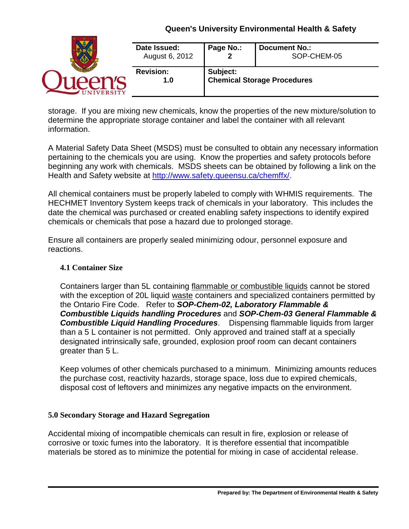| <b>FRSITY</b> | Date Issued:<br>August 6, 2012 | Page No.:                                      | <b>Document No.:</b><br>SOP-CHEM-05 |
|---------------|--------------------------------|------------------------------------------------|-------------------------------------|
|               | <b>Revision:</b><br>1.0        | Subject:<br><b>Chemical Storage Procedures</b> |                                     |

storage. If you are mixing new chemicals, know the properties of the new mixture/solution to determine the appropriate storage container and label the container with all relevant information.

A Material Safety Data Sheet (MSDS) must be consulted to obtain any necessary information pertaining to the chemicals you are using. Know the properties and safety protocols before beginning any work with chemicals. MSDS sheets can be obtained by following a link on the Health and Safety website at [http://www.safety.queensu.ca/chemffx/.](http://www.safety.queensu.ca/chemffx/)

All chemical containers must be properly labeled to comply with WHMIS requirements. The HECHMET Inventory System keeps track of chemicals in your laboratory. This includes the date the chemical was purchased or created enabling safety inspections to identify expired chemicals or chemicals that pose a hazard due to prolonged storage.

Ensure all containers are properly sealed minimizing odour, personnel exposure and reactions.

### **4.1 Container Size**

Containers larger than 5L containing flammable or combustible liquids cannot be stored with the exception of 20L liquid waste containers and specialized containers permitted by the Ontario Fire Code. Refer to *SOP-Chem-02, Laboratory Flammable & Combustible Liquids handling Procedures* and *SOP-Chem-03 General Flammable & Combustible Liquid Handling Procedures*. Dispensing flammable liquids from larger than a 5 L container is not permitted. Only approved and trained staff at a specially designated intrinsically safe, grounded, explosion proof room can decant containers greater than 5 L.

Keep volumes of other chemicals purchased to a minimum. Minimizing amounts reduces the purchase cost, reactivity hazards, storage space, loss due to expired chemicals, disposal cost of leftovers and minimizes any negative impacts on the environment.

## **5.0 Secondary Storage and Hazard Segregation**

Accidental mixing of incompatible chemicals can result in fire, explosion or release of corrosive or toxic fumes into the laboratory. It is therefore essential that incompatible materials be stored as to minimize the potential for mixing in case of accidental release.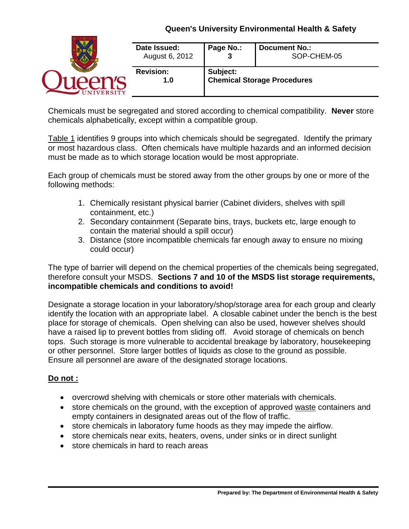| <b>NIVERSITY</b> | Date Issued:<br>August 6, 2012 | Page No.:                                      | <b>Document No.:</b><br>SOP-CHEM-05 |
|------------------|--------------------------------|------------------------------------------------|-------------------------------------|
|                  | <b>Revision:</b><br>1.0        | Subject:<br><b>Chemical Storage Procedures</b> |                                     |

Chemicals must be segregated and stored according to chemical compatibility. **Never** store chemicals alphabetically, except within a compatible group.

Table 1 identifies 9 groups into which chemicals should be segregated. Identify the primary or most hazardous class. Often chemicals have multiple hazards and an informed decision must be made as to which storage location would be most appropriate.

Each group of chemicals must be stored away from the other groups by one or more of the following methods:

- 1. Chemically resistant physical barrier (Cabinet dividers, shelves with spill containment, etc.)
- 2. Secondary containment (Separate bins, trays, buckets etc, large enough to contain the material should a spill occur)
- 3. Distance (store incompatible chemicals far enough away to ensure no mixing could occur)

The type of barrier will depend on the chemical properties of the chemicals being segregated, therefore consult your MSDS. **Sections 7 and 10 of the MSDS list storage requirements, incompatible chemicals and conditions to avoid!**

Designate a storage location in your laboratory/shop/storage area for each group and clearly identify the location with an appropriate label. A closable cabinet under the bench is the best place for storage of chemicals. Open shelving can also be used, however shelves should have a raised lip to prevent bottles from sliding off. Avoid storage of chemicals on bench tops. Such storage is more vulnerable to accidental breakage by laboratory, housekeeping or other personnel. Store larger bottles of liquids as close to the ground as possible. Ensure all personnel are aware of the designated storage locations.

# **Do not :**

- overcrowd shelving with chemicals or store other materials with chemicals.
- store chemicals on the ground, with the exception of approved waste containers and empty containers in designated areas out of the flow of traffic.
- store chemicals in laboratory fume hoods as they may impede the airflow.
- store chemicals near exits, heaters, ovens, under sinks or in direct sunlight
- store chemicals in hard to reach areas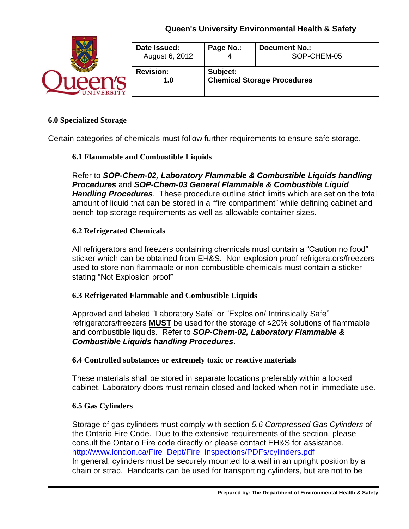

#### **6.0 Specialized Storage**

Certain categories of chemicals must follow further requirements to ensure safe storage.

#### **6.1 Flammable and Combustible Liquids**

Refer to *SOP-Chem-02, Laboratory Flammable & Combustible Liquids handling Procedures* and *SOP-Chem-03 General Flammable & Combustible Liquid Handling Procedures*. These procedure outline strict limits which are set on the total amount of liquid that can be stored in a "fire compartment" while defining cabinet and bench-top storage requirements as well as allowable container sizes.

#### **6.2 Refrigerated Chemicals**

All refrigerators and freezers containing chemicals must contain a "Caution no food" sticker which can be obtained from EH&S. Non-explosion proof refrigerators/freezers used to store non-flammable or non-combustible chemicals must contain a sticker stating "Not Explosion proof"

#### **6.3 Refrigerated Flammable and Combustible Liquids**

Approved and labeled "Laboratory Safe" or "Explosion/ Intrinsically Safe" refrigerators/freezers **MUST** be used for the storage of ≤20% solutions of flammable and combustible liquids. Refer to *SOP-Chem-02, Laboratory Flammable & Combustible Liquids handling Procedures*.

#### **6.4 Controlled substances or extremely toxic or reactive materials**

These materials shall be stored in separate locations preferably within a locked cabinet. Laboratory doors must remain closed and locked when not in immediate use.

#### **6.5 Gas Cylinders**

Storage of gas cylinders must comply with section *5.6 Compressed Gas Cylinders* of the Ontario Fire Code. Due to the extensive requirements of the section, please consult the Ontario Fire code directly or please contact EH&S for assistance. [http://www.london.ca/Fire\\_Dept/Fire\\_Inspections/PDFs/cylinders.pdf](http://www.london.ca/Fire_Dept/Fire_Inspections/PDFs/cylinders.pdf) In general, cylinders must be securely mounted to a wall in an upright position by a chain or strap. Handcarts can be used for transporting cylinders, but are not to be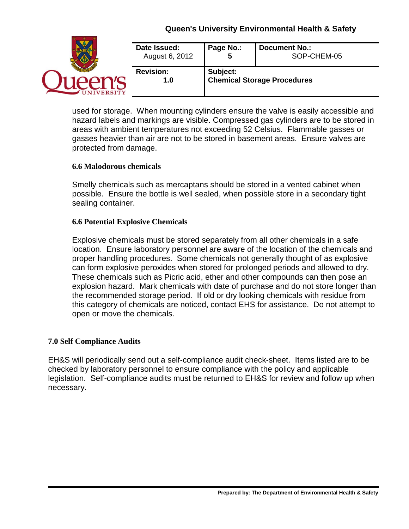

used for storage. When mounting cylinders ensure the valve is easily accessible and hazard labels and markings are visible. Compressed gas cylinders are to be stored in areas with ambient temperatures not exceeding 52 Celsius. Flammable gasses or gasses heavier than air are not to be stored in basement areas. Ensure valves are protected from damage.

#### **6.6 Malodorous chemicals**

Smelly chemicals such as mercaptans should be stored in a vented cabinet when possible. Ensure the bottle is well sealed, when possible store in a secondary tight sealing container.

#### **6.6 Potential Explosive Chemicals**

Explosive chemicals must be stored separately from all other chemicals in a safe location. Ensure laboratory personnel are aware of the location of the chemicals and proper handling procedures. Some chemicals not generally thought of as explosive can form explosive peroxides when stored for prolonged periods and allowed to dry. These chemicals such as Picric acid, ether and other compounds can then pose an explosion hazard. Mark chemicals with date of purchase and do not store longer than the recommended storage period. If old or dry looking chemicals with residue from this category of chemicals are noticed, contact EHS for assistance. Do not attempt to open or move the chemicals.

#### **7.0 Self Compliance Audits**

EH&S will periodically send out a self-compliance audit check-sheet. Items listed are to be checked by laboratory personnel to ensure compliance with the policy and applicable legislation. Self-compliance audits must be returned to EH&S for review and follow up when necessary.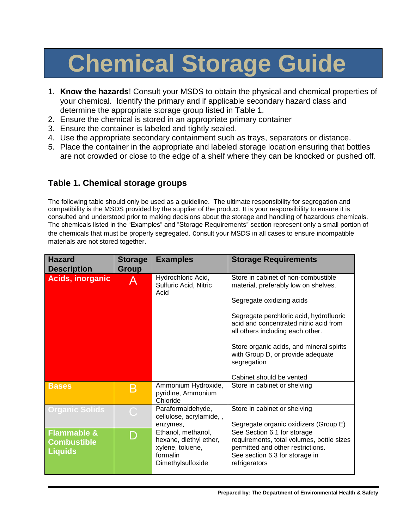# **Chemical Storage Guide**

- 1. **Know the hazards**! Consult your MSDS to obtain the physical and chemical properties of your chemical. Identify the primary and if applicable secondary hazard class and determine the appropriate storage group listed in Table 1.
- 2. Ensure the chemical is stored in an appropriate primary container
- 3. Ensure the container is labeled and tightly sealed.
- 4. Use the appropriate secondary containment such as trays, separators or distance.
- 5. Place the container in the appropriate and labeled storage location ensuring that bottles are not crowded or close to the edge of a shelf where they can be knocked or pushed off.

# **Table 1. Chemical storage groups**

The following table should only be used as a guideline. The ultimate responsibility for segregation and compatibility is the MSDS provided by the supplier of the product. It is your responsibility to ensure it is consulted and understood prior to making decisions about the storage and handling of hazardous chemicals. The chemicals listed in the "Examples" and "Storage Requirements" section represent only a small portion of the chemicals that must be properly segregated. consult your MSDS in all cases to ensure incompatible materials are not stored together.

| <b>Hazard</b><br><b>Description</b>                            | <b>Storage</b><br><b>Group</b> | <b>Examples</b>                                                                                   | <b>Storage Requirements</b>                                                                                                                                                                                                                                                                                                                                   |
|----------------------------------------------------------------|--------------------------------|---------------------------------------------------------------------------------------------------|---------------------------------------------------------------------------------------------------------------------------------------------------------------------------------------------------------------------------------------------------------------------------------------------------------------------------------------------------------------|
| <b>Acids, inorganic</b>                                        | Α                              | Hydrochloric Acid,<br>Sulfuric Acid, Nitric<br>Acid                                               | Store in cabinet of non-combustible<br>material, preferably low on shelves.<br>Segregate oxidizing acids<br>Segregate perchloric acid, hydrofluoric<br>acid and concentrated nitric acid from<br>all others including each other.<br>Store organic acids, and mineral spirits<br>with Group D, or provide adequate<br>segregation<br>Cabinet should be vented |
| <b>Bases</b>                                                   | Β                              | Ammonium Hydroxide,<br>pyridine, Ammonium<br>Chloride                                             | Store in cabinet or shelving                                                                                                                                                                                                                                                                                                                                  |
| <b>Organic Solids</b>                                          |                                | Paraformaldehyde,<br>cellulose, acrylamide, ,<br>enzymes,                                         | Store in cabinet or shelving<br>Segregate organic oxidizers (Group E)                                                                                                                                                                                                                                                                                         |
| <b>Flammable &amp;</b><br><b>Combustible</b><br><b>Liquids</b> |                                | Ethanol, methanol,<br>hexane, diethyl ether,<br>xylene, toluene,<br>formalin<br>Dimethylsulfoxide | See Section 6.1 for storage<br>requirements, total volumes, bottle sizes<br>permitted and other restrictions.<br>See section 6.3 for storage in<br>refrigerators                                                                                                                                                                                              |